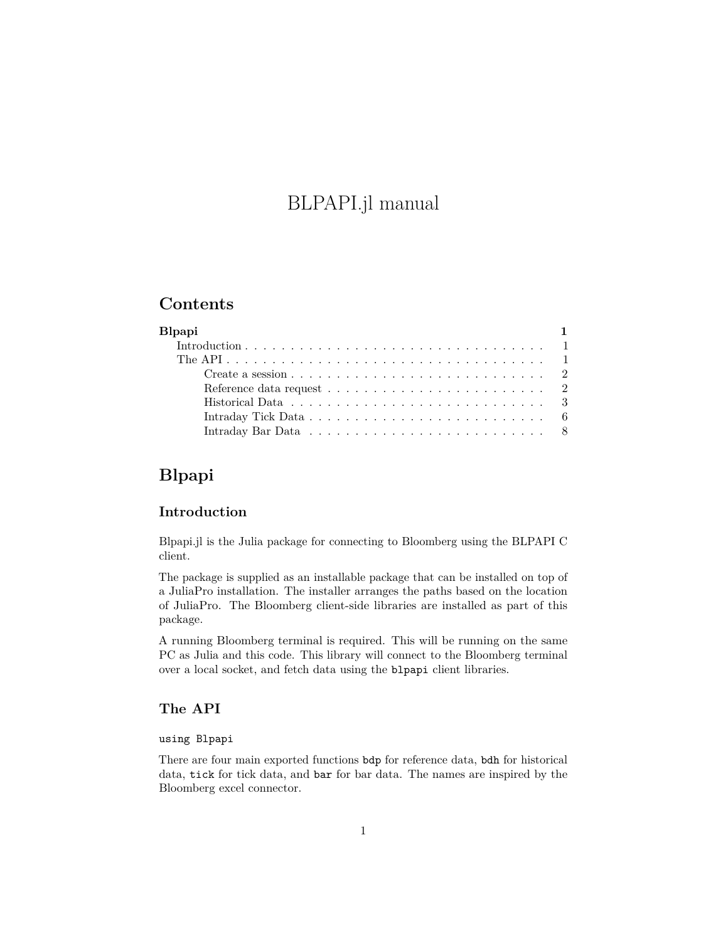# BLPAPI.jl manual

## **Contents**

| <b>B</b> lpapi |                                                                                                                              |  |
|----------------|------------------------------------------------------------------------------------------------------------------------------|--|
|                |                                                                                                                              |  |
|                |                                                                                                                              |  |
|                | Create a session $\ldots$ $\ldots$ $\ldots$ $\ldots$ $\ldots$ $\ldots$ $\ldots$ $\ldots$ $\ldots$ $\ldots$ $\ldots$ $\ldots$ |  |
|                | Reference data request $\ldots \ldots \ldots \ldots \ldots \ldots \ldots$                                                    |  |
|                | Historical Data $\ldots$ , , , , , , ,  3                                                                                    |  |
|                |                                                                                                                              |  |
|                |                                                                                                                              |  |

## <span id="page-0-0"></span>**Blpapi**

## <span id="page-0-1"></span>**Introduction**

Blpapi.jl is the Julia package for connecting to Bloomberg using the [BLPAPI](http://www.bloomberglabs.com/api/) C client.

The package is supplied as an installable package that can be installed on top of a JuliaPro installation. The installer arranges the paths based on the location of JuliaPro. The Bloomberg client-side libraries are installed as part of this package.

A running Bloomberg terminal is required. This will be running on the same PC as Julia and this code. This library will connect to the Bloomberg terminal over a local socket, and fetch data using the blpapi client libraries.

### <span id="page-0-2"></span>**The API**

## using Blpapi

There are four main exported functions bdp for reference data, bdh for historical data, tick for tick data, and bar for bar data. The names are inspired by the Bloomberg excel connector.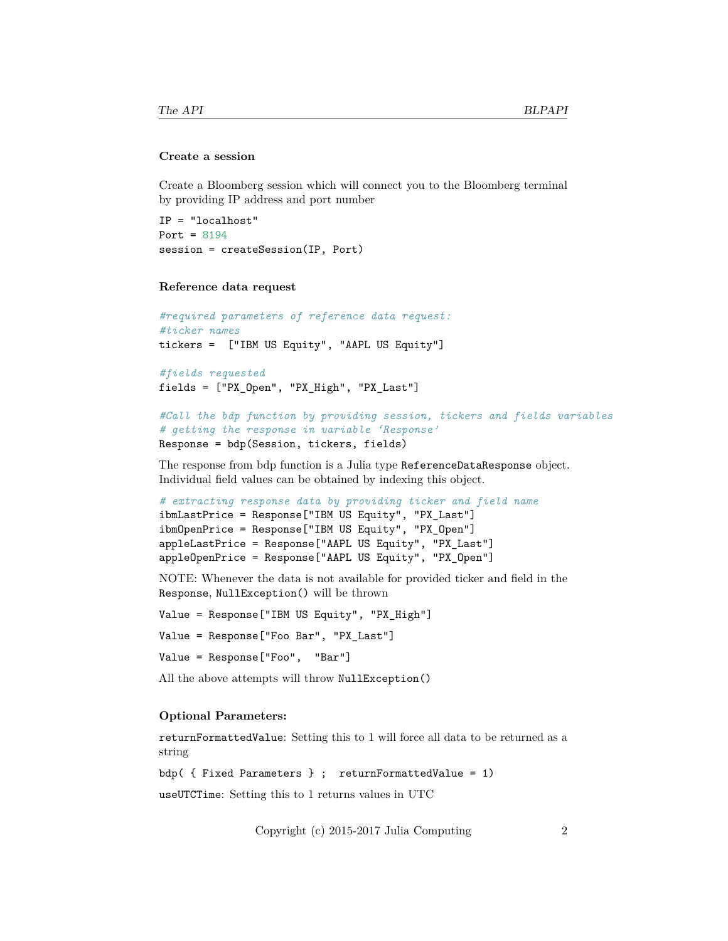#### <span id="page-1-0"></span>**Create a session**

Create a Bloomberg session which will connect you to the Bloomberg terminal by providing IP address and port number

```
IP = "localhost"
Port = 8194session = createSession(IP, Port)
```
#### <span id="page-1-1"></span>**Reference data request**

```
#required parameters of reference data request:
#ticker names
tickers = ["IBM US Equity", "AAPL US Equity"]
#fields requested
fields = ["PX_Open", "PX_High", "PX_Last"]
#Call the bdp function by providing session, tickers and fields variables
```

```
# getting the response in variable 'Response'
Response = bdp(Session, tickers, fields)
```
The response from bdp function is a Julia type ReferenceDataResponse object. Individual field values can be obtained by indexing this object.

```
# extracting response data by providing ticker and field name
ibmLastPrice = Response["IBM US Equity", "PX_Last"]
ibmOpenPrice = Response["IBM US Equity", "PX_Open"]
appleLastPrice = Response["AAPL US Equity", "PX_Last"]
appleOpenPrice = Response["AAPL US Equity", "PX_Open"]
```
NOTE: Whenever the data is not available for provided ticker and field in the Response, NullException() will be thrown

```
Value = Response["IBM US Equity", "PX_High"]
```
Value = Response["Foo Bar", "PX\_Last"]

Value = Response["Foo", "Bar"]

All the above attempts will throw NullException()

#### **Optional Parameters:**

returnFormattedValue: Setting this to 1 will force all data to be returned as a string

bdp( { Fixed Parameters } ; returnFormattedValue = 1)

useUTCTime: Setting this to 1 returns values in UTC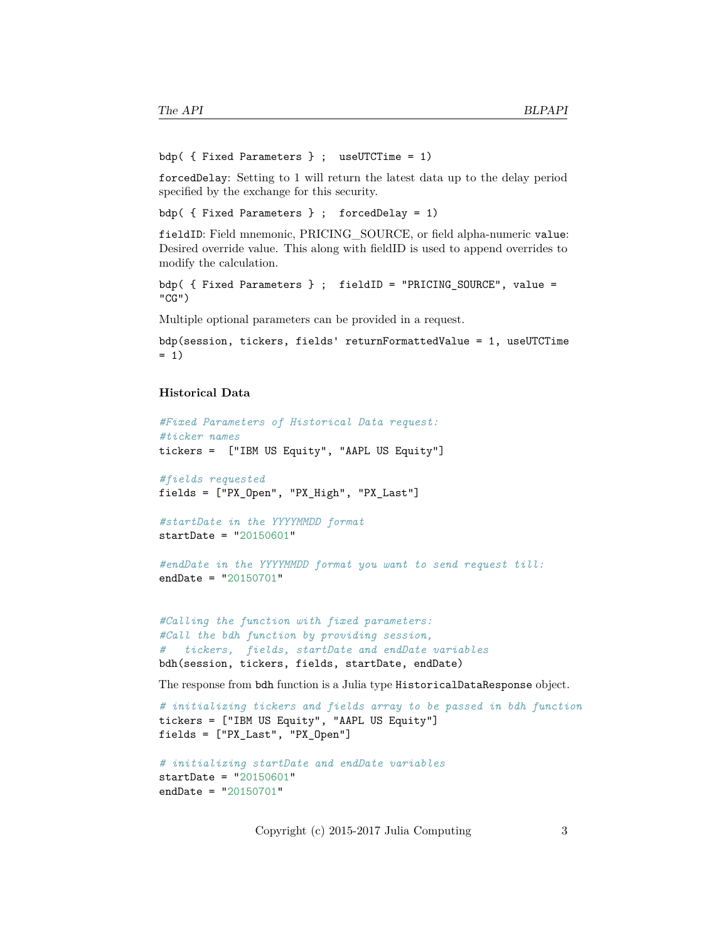```
bdp( { Fixed Parameters } ; useUTCTime = 1)
```
forcedDelay: Setting to 1 will return the latest data up to the delay period specified by the exchange for this security.

bdp( { Fixed Parameters } ; forcedDelay = 1)

fieldID: Field mnemonic, PRICING\_SOURCE, or field alpha-numeric value: Desired override value. This along with fieldID is used to append overrides to modify the calculation.

```
bdp( { Fixed Parameters } ; fieldID = "PRICING_SOURCE", value =
"CG")
```
Multiple optional parameters can be provided in a request.

```
bdp(session, tickers, fields' returnFormattedValue = 1, useUTCTime
= 1)
```
#### <span id="page-2-0"></span>**Historical Data**

```
#Fixed Parameters of Historical Data request:
#ticker names
tickers = ["IBM US Equity", "AAPL US Equity"]
```

```
#fields requested
fields = ["PX_Open", "PX_High", "PX_Last"]
```

```
#startDate in the YYYYMMDD format
startDate = "20150601"
```

```
#endDate in the YYYYMMDD format you want to send request till:
endDate = "20150701"
```

```
#Calling the function with fixed parameters:
#Call the bdh function by providing session,
# tickers, fields, startDate and endDate variables
bdh(session, tickers, fields, startDate, endDate)
```
The response from bdh function is a Julia type HistoricalDataResponse object.

```
# initializing tickers and fields array to be passed in bdh function
tickers = ["IBM US Equity", "AAPL US Equity"]
fields = ["PX_Last", "PX_Open"]
```

```
# initializing startDate and endDate variables
startDate = "20150601"endDate = "20150701"
```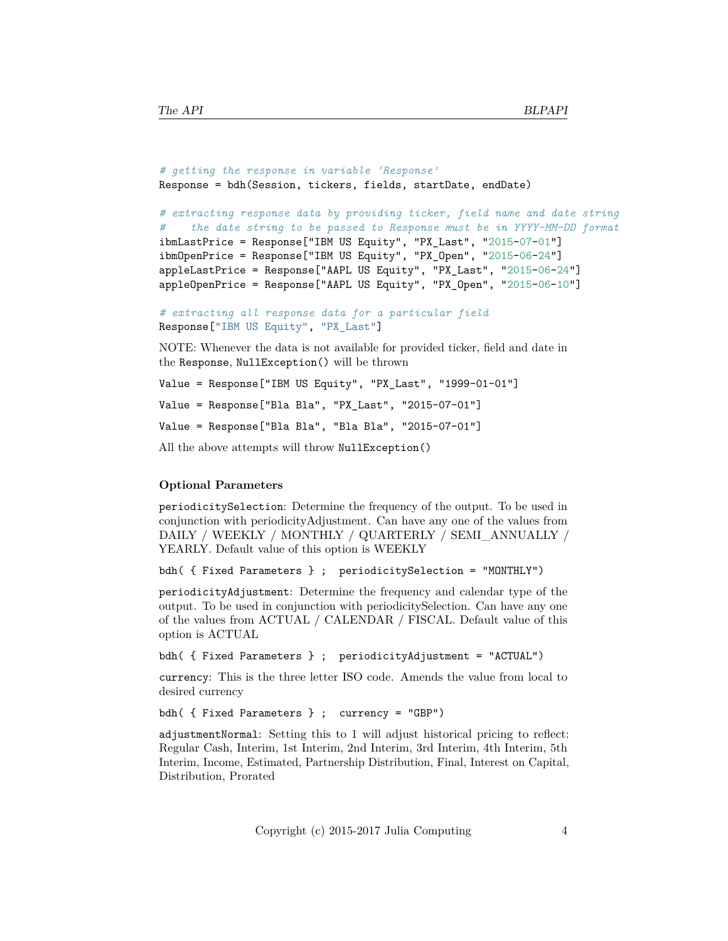```
# getting the response in variable 'Response'
Response = bdh(Session, tickers, fields, startDate, endDate)
# extracting response data by providing ticker, field name and date string
# the date string to be passed to Response must be in YYYY-MM-DD format
ibmLastPrice = Response["IBM US Equity", "PX_Last", "2015-07-01"]
ibmOpenPrice = Response["IBM US Equity", "PX_Open", "2015-06-24"]
appleLastPrice = Response["AAPL US Equity", "PX_Last", "2015-06-24"]
appleOpenPrice = Response["AAPL US Equity", "PX_Open", "2015-06-10"]
# extracting all response data for a particular field
Response["IBM US Equity", "PX_Last"]
NOTE: Whenever the data is not available for provided ticker, field and date in
the Response, NullException() will be thrown
```

```
Value = Response["IBM US Equity", "PX_Last", "1999-01-01"]
Value = Response["Bla Bla", "PX_Last", "2015-07-01"]
Value = Response["Bla Bla", "Bla Bla", "2015-07-01"]
All the above attempts will throw NullException()
```
#### **Optional Parameters**

periodicitySelection: Determine the frequency of the output. To be used in conjunction with periodicityAdjustment. Can have any one of the values from DAILY / WEEKLY / MONTHLY / QUARTERLY / SEMI\_ANNUALLY / YEARLY. Default value of this option is WEEKLY

bdh( { Fixed Parameters } ; periodicitySelection = "MONTHLY")

periodicityAdjustment: Determine the frequency and calendar type of the output. To be used in conjunction with periodicitySelection. Can have any one of the values from ACTUAL / CALENDAR / FISCAL. Default value of this option is ACTUAL

bdh( { Fixed Parameters } ; periodicityAdjustment = "ACTUAL")

currency: This is the three letter ISO code. Amends the value from local to desired currency

bdh( { Fixed Parameters } ; currency = "GBP")

adjustmentNormal: Setting this to 1 will adjust historical pricing to reflect: Regular Cash, Interim, 1st Interim, 2nd Interim, 3rd Interim, 4th Interim, 5th Interim, Income, Estimated, Partnership Distribution, Final, Interest on Capital, Distribution, Prorated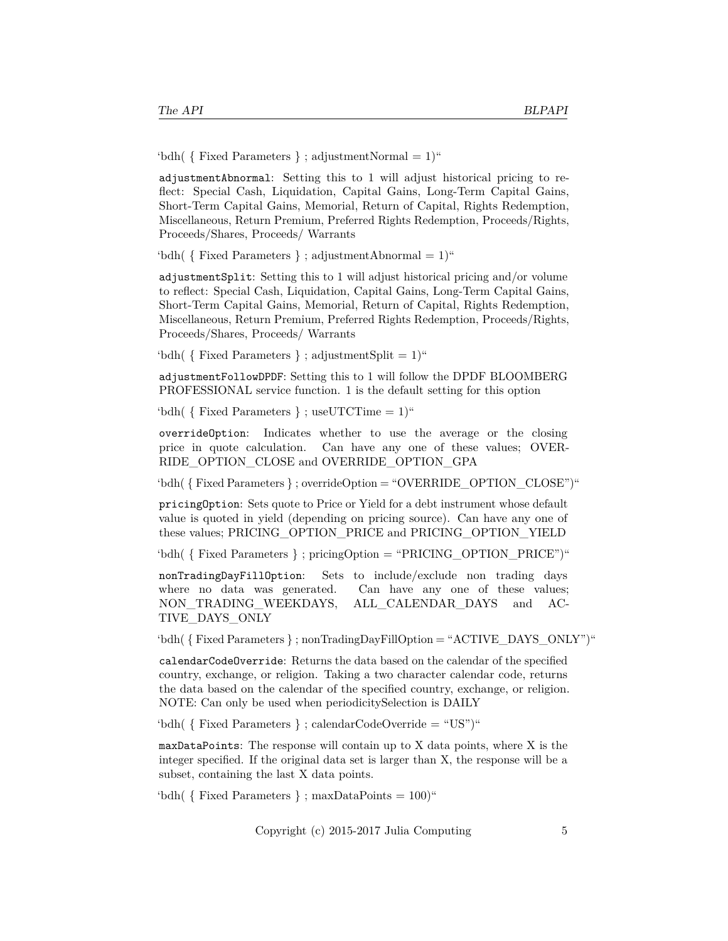'bdh(  $\{$  Fixed Parameters  $\}$ ; adjustmentNormal = 1)"

adjustmentAbnormal: Setting this to 1 will adjust historical pricing to reflect: Special Cash, Liquidation, Capital Gains, Long-Term Capital Gains, Short-Term Capital Gains, Memorial, Return of Capital, Rights Redemption, Miscellaneous, Return Premium, Preferred Rights Redemption, Proceeds/Rights, Proceeds/Shares, Proceeds/ Warrants

'bdh(  $\{$  Fixed Parameters  $\}$ ; adjustmentAbnormal = 1)"

adjustmentSplit: Setting this to 1 will adjust historical pricing and/or volume to reflect: Special Cash, Liquidation, Capital Gains, Long-Term Capital Gains, Short-Term Capital Gains, Memorial, Return of Capital, Rights Redemption, Miscellaneous, Return Premium, Preferred Rights Redemption, Proceeds/Rights, Proceeds/Shares, Proceeds/ Warrants

 $\text{`bdh}$ ( { Fixed Parameters } ; adjustmentSplit = 1)"

adjustmentFollowDPDF: Setting this to 1 will follow the DPDF BLOOMBERG PROFESSIONAL service function. 1 is the default setting for this option

'bdh( { Fixed Parameters } ; useUTCTime = 1)"

overrideOption: Indicates whether to use the average or the closing price in quote calculation. Can have any one of these values; OVER-RIDE\_OPTION\_CLOSE and OVERRIDE\_OPTION\_GPA

'bdh( { Fixed Parameters } ; overrideOption = "OVERRIDE\_OPTION\_CLOSE")"

pricingOption: Sets quote to Price or Yield for a debt instrument whose default value is quoted in yield (depending on pricing source). Can have any one of these values; PRICING\_OPTION\_PRICE and PRICING\_OPTION\_YIELD

'bdh( { Fixed Parameters } ; pricingOption = "PRICING\_OPTION\_PRICE")"

nonTradingDayFillOption: Sets to include/exclude non trading days where no data was generated. Can have any one of these values; NON TRADING WEEKDAYS, ALL CALENDAR DAYS and AC-TIVE\_DAYS\_ONLY

'bdh( { Fixed Parameters } ; nonTradingDayFillOption = "ACTIVE\_DAYS\_ONLY")"

calendarCodeOverride: Returns the data based on the calendar of the specified country, exchange, or religion. Taking a two character calendar code, returns the data based on the calendar of the specified country, exchange, or religion. NOTE: Can only be used when periodicitySelection is DAILY

'bdh( { Fixed Parameters } ; calendarCodeOverride = "US")"

maxDataPoints: The response will contain up to X data points, where X is the integer specified. If the original data set is larger than X, the response will be a subset, containing the last X data points.

'bdh(  $\{$  Fixed Parameters  $\}$ ; maxDataPoints = 100)"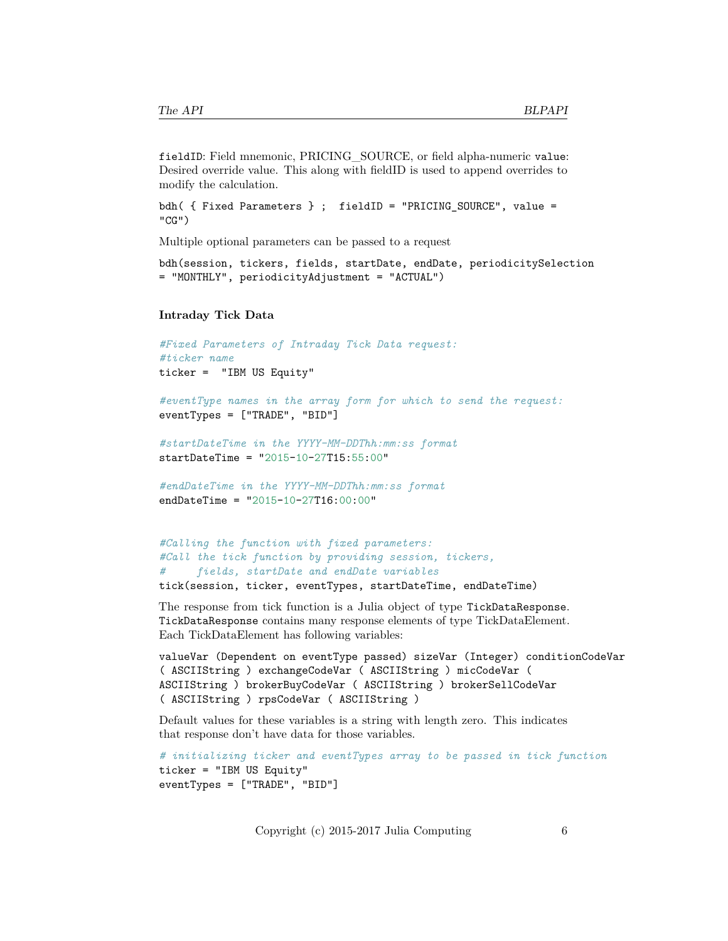fieldID: Field mnemonic, PRICING\_SOURCE, or field alpha-numeric value: Desired override value. This along with fieldID is used to append overrides to modify the calculation.

```
bdh( { Fixed Parameters } ; fieldID = "PRICING_SOURCE", value =
"CG")
```
Multiple optional parameters can be passed to a request

```
bdh(session, tickers, fields, startDate, endDate, periodicitySelection
= "MONTHLY", periodicityAdjustment = "ACTUAL")
```
#### <span id="page-5-0"></span>**Intraday Tick Data**

```
#Fixed Parameters of Intraday Tick Data request:
#ticker name
ticker = "IBM US Equity"
#eventType names in the array form for which to send the request:
eventTypes = ["TRADE", "BID"]
#startDateTime in the YYYY-MM-DDThh:mm:ss format
startDateTime = "2015-10-27T15:55:00"
#endDateTime in the YYYY-MM-DDThh:mm:ss format
endDateTime = "2015-10-27T16:00:00"
#Calling the function with fixed parameters:
```

```
#Call the tick function by providing session, tickers,
# fields, startDate and endDate variables
tick(session, ticker, eventTypes, startDateTime, endDateTime)
```
The response from tick function is a Julia object of type TickDataResponse. TickDataResponse contains many response elements of type TickDataElement. Each TickDataElement has following variables:

```
valueVar (Dependent on eventType passed) sizeVar (Integer) conditionCodeVar
( ASCIIString ) exchangeCodeVar ( ASCIIString ) micCodeVar (
ASCIIString ) brokerBuyCodeVar ( ASCIIString ) brokerSellCodeVar
( ASCIIString ) rpsCodeVar ( ASCIIString )
```
Default values for these variables is a string with length zero. This indicates that response don't have data for those variables.

```
# initializing ticker and eventTypes array to be passed in tick function
ticker = "IBM US Equity"
eventTypes = ["TRADE", "BID"]
```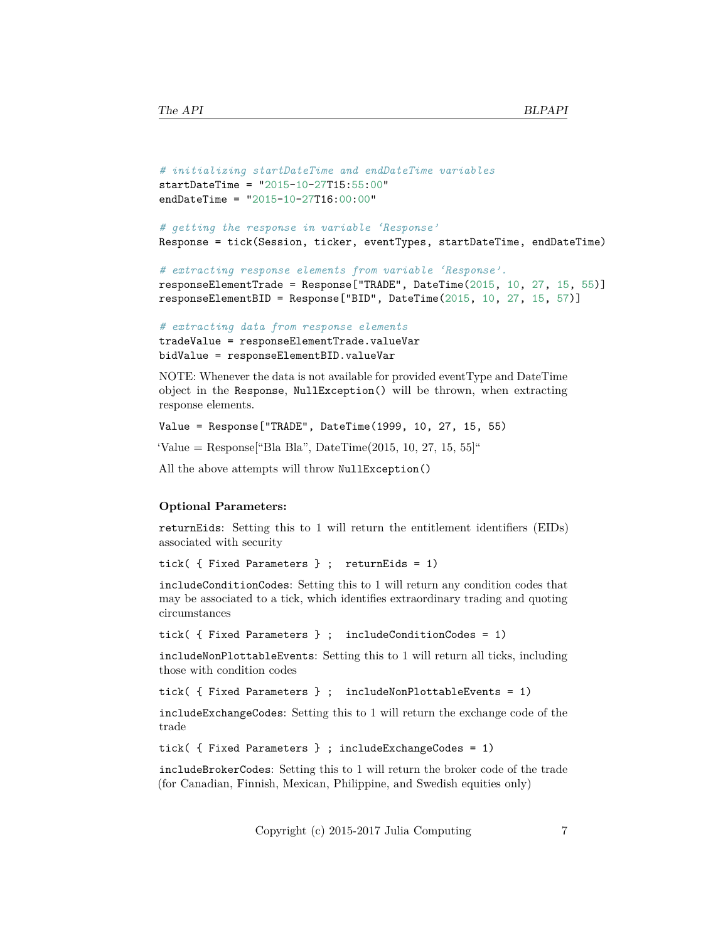```
# initializing startDateTime and endDateTime variables
startDateTime = "2015-10-27T15:55:00"
endDateTime = "2015-10-27T16:00:00"
```

```
# getting the response in variable 'Response'
Response = tick(Session, ticker, eventTypes, startDateTime, endDateTime)
```

```
# extracting response elements from variable 'Response'.
```

```
responseElementTrade = Response["TRADE", DateTime(2015, 10, 27, 15, 55)]
responseElementBID = Response["BID", DateTime(2015, 10, 27, 15, 57)]
```

```
# extracting data from response elements
tradeValue = responseElementTrade.valueVar
bidValue = responseElementBID.valueVar
```
NOTE: Whenever the data is not available for provided eventType and DateTime object in the Response, NullException() will be thrown, when extracting response elements.

```
Value = Response["TRADE", DateTime(1999, 10, 27, 15, 55)
```
 $'$ Value = Response<sup>["</sup>Bla Bla", DateTime(2015, 10, 27, 15, 55]<sup>"</sup>

All the above attempts will throw NullException()

#### **Optional Parameters:**

returnEids: Setting this to 1 will return the entitlement identifiers (EIDs) associated with security

```
tick( { Fixed Parameters } ; returnEids = 1)
```
includeConditionCodes: Setting this to 1 will return any condition codes that may be associated to a tick, which identifies extraordinary trading and quoting circumstances

```
tick( { Fixed Parameters } ; includeConditionCodes = 1)
```
includeNonPlottableEvents: Setting this to 1 will return all ticks, including those with condition codes

```
tick( { Fixed Parameters } ; includeNonPlottableEvents = 1)
```
includeExchangeCodes: Setting this to 1 will return the exchange code of the trade

```
tick( { Fixed Parameters } ; includeExchangeCodes = 1)
```
includeBrokerCodes: Setting this to 1 will return the broker code of the trade (for Canadian, Finnish, Mexican, Philippine, and Swedish equities only)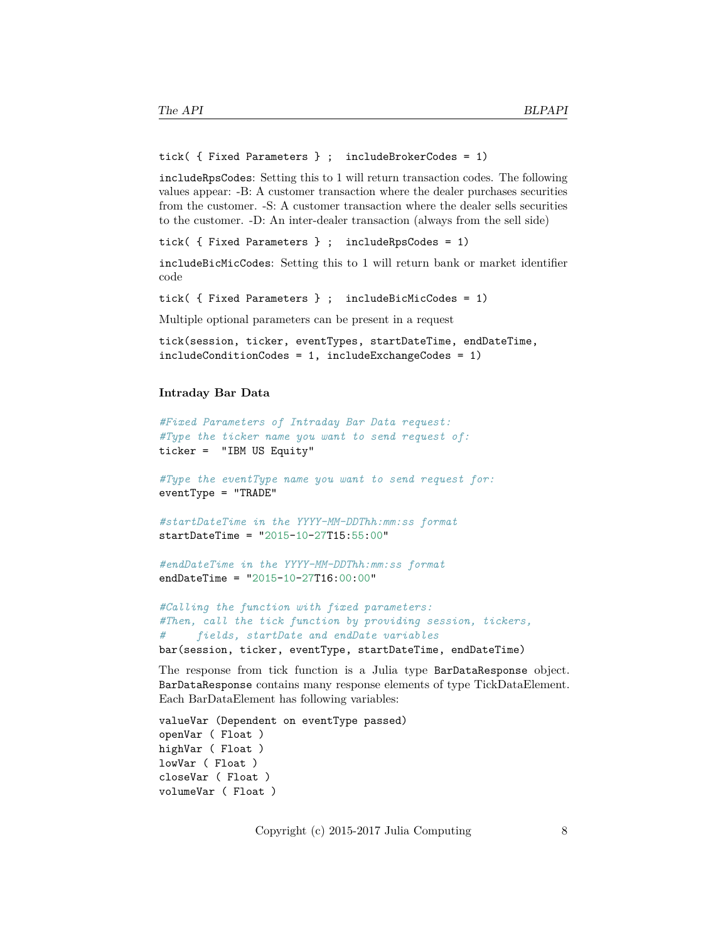```
tick( { Fixed Parameters } ; includeBrokerCodes = 1)
```
includeRpsCodes: Setting this to 1 will return transaction codes. The following values appear: -B: A customer transaction where the dealer purchases securities from the customer. -S: A customer transaction where the dealer sells securities to the customer. -D: An inter-dealer transaction (always from the sell side)

tick( { Fixed Parameters } ; includeRpsCodes = 1)

includeBicMicCodes: Setting this to 1 will return bank or market identifier code

tick( { Fixed Parameters } ; includeBicMicCodes = 1)

Multiple optional parameters can be present in a request

```
tick(session, ticker, eventTypes, startDateTime, endDateTime,
includeConditionCodes = 1, includeExchangeCodes = 1)
```
#### <span id="page-7-0"></span>**Intraday Bar Data**

```
#Fixed Parameters of Intraday Bar Data request:
#Type the ticker name you want to send request of:
ticker = "IBM US Equity"
#Type the eventType name you want to send request for:
eventType = "TRADE"
#startDateTime in the YYYY-MM-DDThh:mm:ss format
startDateTime = "2015-10-27T15:55:00"
#endDateTime in the YYYY-MM-DDThh:mm:ss format
endDateTime = "2015-10-27T16:00:00"
#Calling the function with fixed parameters:
```
*#Then, call the tick function by providing session, tickers, # fields, startDate and endDate variables* bar(session, ticker, eventType, startDateTime, endDateTime)

The response from tick function is a Julia type BarDataResponse object. BarDataResponse contains many response elements of type TickDataElement. Each BarDataElement has following variables:

```
valueVar (Dependent on eventType passed)
openVar ( Float )
highVar ( Float )
lowVar ( Float )
closeVar ( Float )
volumeVar ( Float )
```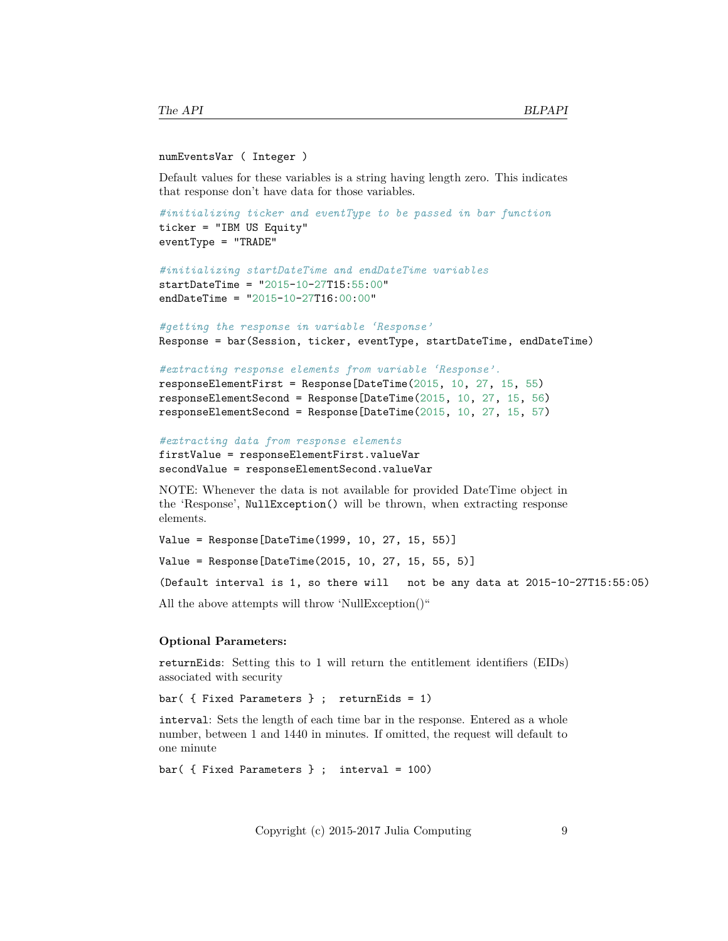#### numEventsVar ( Integer )

Default values for these variables is a string having length zero. This indicates that response don't have data for those variables.

```
#initializing ticker and eventType to be passed in bar function
ticker = "IBM US Equity"
eventType = "TRADE"
```

```
#initializing startDateTime and endDateTime variables
startDateTime = "2015-10-27T15:55:00"
endDateTime = "2015-10-27T16:00:00"
```
*#getting the response in variable 'Response'* Response = bar(Session, ticker, eventType, startDateTime, endDateTime)

```
#extracting response elements from variable 'Response'.
responseElementFirst = Response[DateTime(2015, 10, 27, 15, 55)
responseElementSecond = Response[DateTime(2015, 10, 27, 15, 56)
responseElementSecond = Response[DateTime(2015, 10, 27, 15, 57)
```

```
#extracting data from response elements
firstValue = responseElementFirst.valueVar
secondValue = responseElementSecond.valueVar
```
NOTE: Whenever the data is not available for provided DateTime object in the 'Response', NullException() will be thrown, when extracting response elements.

```
Value = Response[DateTime(1999, 10, 27, 15, 55)]
```
Value = Response[DateTime(2015, 10, 27, 15, 55, 5)]

(Default interval is 1, so there will not be any data at 2015-10-27T15:55:05)

All the above attempts will throw 'NullException()"

#### **Optional Parameters:**

returnEids: Setting this to 1 will return the entitlement identifiers (EIDs) associated with security

bar( { Fixed Parameters } ; returnEids = 1)

interval: Sets the length of each time bar in the response. Entered as a whole number, between 1 and 1440 in minutes. If omitted, the request will default to one minute

```
bar( { Fixed Parameters } ; interval = 100)
```